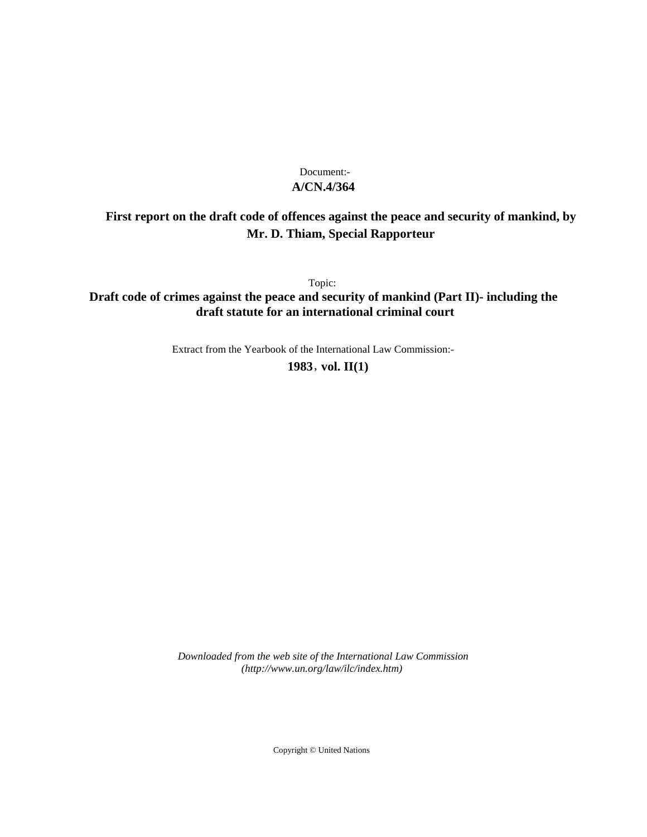## **A/CN.4/364** Document:-

# **First report on the draft code of offences against the peace and security of mankind, by Mr. D. Thiam, Special Rapporteur**

Topic: **Draft code of crimes against the peace and security of mankind (Part II)- including the draft statute for an international criminal court**

Extract from the Yearbook of the International Law Commission:-

**1983** , **vol. II(1)**

*Downloaded from the web site of the International Law Commission (http://www.un.org/law/ilc/index.htm)*

Copyright © United Nations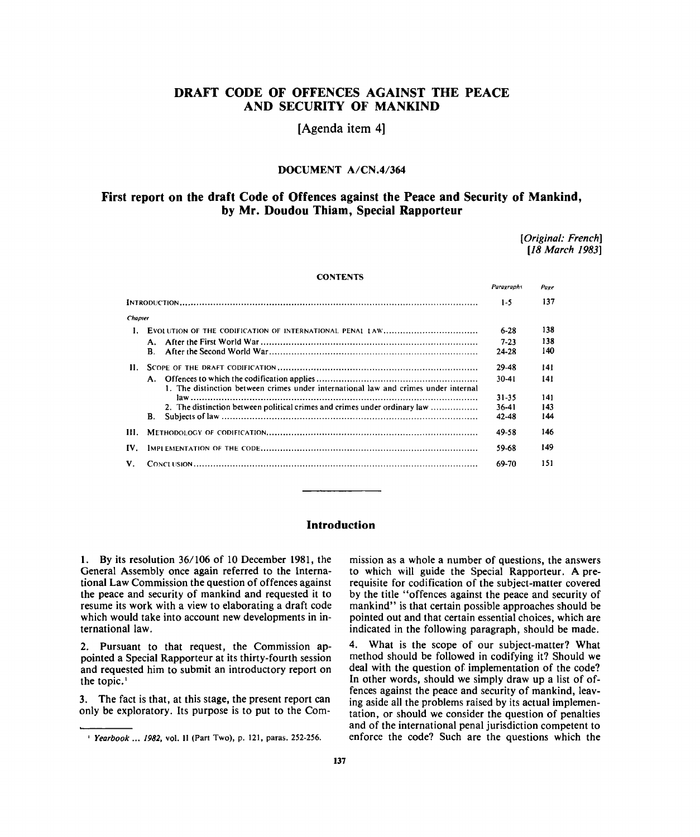## **DRAFT CODE OF OFFENCES AGAINST THE PEACE AND SECURITY OF MANKIND**

**[Agenda item 4]**

#### **DOCUMENT** A/CN.**4/364**

## **First report on the draft Code of Offences against the Peace and Security of Mankind, by Mr. Doudou Thiam, Special Rapporteur**

*[Original: French] [18 March 1983]*

*Paragraphs Pane*

#### **CONTENTS**

| $\overline{\text{INTRODUCTION}}$ |                                                                                     | $1-5$    | 137 |
|----------------------------------|-------------------------------------------------------------------------------------|----------|-----|
| Chapter                          |                                                                                     |          |     |
| L.                               |                                                                                     | $6 - 28$ | 138 |
|                                  |                                                                                     | $7 - 23$ | 138 |
|                                  | В.                                                                                  | 24-28    | 140 |
| Н.                               |                                                                                     | 29-48    | 141 |
|                                  | 1. The distinction between crimes under international law and crimes under internal | 30-41    | 141 |
|                                  |                                                                                     | 31-35    | 141 |
|                                  | 2. The distinction between political crimes and crimes under ordinary law           | 36-41    | 143 |
|                                  | В.                                                                                  | 42-48    | 144 |
| IH.                              |                                                                                     | 49-58    | 146 |
| IV.                              |                                                                                     | 59-68    | 149 |
| V.                               |                                                                                     | 69-70    | 151 |

## **Introduction**

**1.** By its resolution 36/106 of 10 December 1981, the General Assembly once again referred to the International Law Commission the question of offences against the peace and security of mankind and requested it to resume its work with a view to elaborating a draft code which would take into account new developments in international law.

2. Pursuant to that request, the Commission appointed a Special Rapporteur at its thirty-fourth session and requested him to submit an introductory report on the topic.<sup>1</sup>

3. The fact is that, at this stage, the present report can only be exploratory. Its purpose is to put to the Com-

mission as a whole a number of questions, the answers to which will guide the Special Rapporteur. A prerequisite for codification of the subject-matter covered by the title "offences against the peace and security of mankind" is that certain possible approaches should be pointed out and that certain essential choices, which are indicated in the following paragraph, should be made.

4. What is the scope of our subject-matter? What method should be followed in codifying it? Should we deal with the question of implementation of the code? In other words, should we simply draw up a list of offences against the peace and security of mankind, leaving aside all the problems raised by its actual implementation, or should we consider the question of penalties and of the international penal jurisdiction competent to enforce the code? Such are the questions which the

*Yearbook* ... *1982,* vol. II (Part Two), p. 121, paras. 252-256.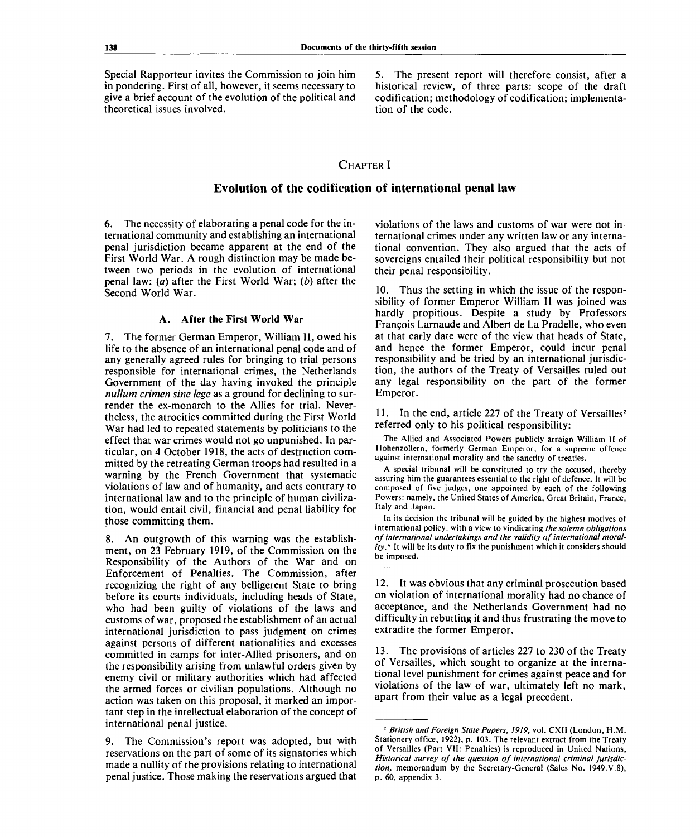Special Rapporteur invites the Commission to join him in pondering. First of all, however, it seems necessary to give a brief account of the evolution of the political and theoretical issues involved.

5. The present report will therefore consist, after a historical review, of three parts: scope of the draft codification; methodology of codification; implementation of the code.

## CHAPTER I

## **Evolution of the codification of international penal law**

6. The necessity of elaborating a penal code for the international community and establishing an international penal jurisdiction became apparent at the end of the First World War. A rough distinction may be made between two periods in the evolution of international penal law: (a) after the First World War; *(b)* after the Second World War.

#### **A. After the First World War**

7. The former German Emperor, William II, owed his life to the absence of an international penal code and of any generally agreed rules for bringing to trial persons responsible for international crimes, the Netherlands Government of the day having invoked the principle *nullum crimen sine lege* as a ground for declining to surrender the ex-monarch to the Allies for trial. Nevertheless, the atrocities committed during the First World War had led to repeated statements by politicians to the effect that war crimes would not go unpunished. In particular, on 4 October 1918, the acts of destruction committed by the retreating German troops had resulted in a warning by the French Government that systematic violations of law and of humanity, and acts contrary to international law and to the principle of human civilization, would entail civil, financial and penal liability for those committing them.

8. An outgrowth of this warning was the establishment, on 23 February 1919, of the Commission on the Responsibility of the Authors of the War and on Enforcement of Penalties. The Commission, after recognizing the right of any belligerent State to bring before its courts individuals, including heads of State, who had been guilty of violations of the laws and customs of war, proposed the establishment of an actual international jurisdiction to pass judgment on crimes against persons of different nationalities and excesses committed in camps for inter-Allied prisoners, and on the responsibility arising from unlawful orders given by enemy civil or military authorities which had affected the armed forces or civilian populations. Although no action was taken on this proposal, it marked an important step in the intellectual elaboration of the concept of international penal justice.

9. The Commission's report was adopted, but with reservations on the part of some of its signatories which made a nullity of the provisions relating to international penal justice. Those making the reservations argued that

violations of the laws and customs of war were not international crimes under any written law or any international convention. They also argued that the acts of sovereigns entailed their political responsibility but not their penal responsibility.

10. Thus the setting in which the issue of the responsibility of former Emperor William II was joined was hardly propitious. Despite a study by Professors Francois Larnaude and Albert de La Pradelle, who even at that early date were of the view that heads of State, and hence the former Emperor, could incur penal responsibility and be tried by an international jurisdiction, the authors of the Treaty of Versailles ruled out any legal responsibility on the part of the former Emperor.

11. In the end, article 227 of the Treaty of Versailles<sup>2</sup> referred only to his political responsibility:

The Allied and Associated Powers publicly arraign William II of Hohenzollern, formerly German Emperor, for a supreme offence against international morality and the sanctity of treaties.

A special tribunal will be constituted to try the accused, thereby assuring him the guarantees essential to the right of defence. It will be composed of five judges, one appointed by each of the following Powers: namely, the United States of America, Great Britain, France, Italy and Japan.

In its decision the tribunal will be guided by the highest motives of international policy, with a view to vindicating *the solemn obligations of international undertakings and the validity of international morality."* It will be its duty to fix the punishment which it considers should be imposed.

12. It was obvious that any criminal prosecution based on violation of international morality had no chance of acceptance, and the Netherlands Government had no difficulty in rebutting it and thus frustrating the move to extradite the former Emperor.

13. The provisions of articles 227 to 230 of the Treaty of Versailles, which sought to organize at the international level punishment for crimes against peace and for violations of the law of war, ultimately left no mark, apart from their value as a legal precedent.

<sup>&</sup>lt;sup>2</sup> British and Foreign State Papers, 1919, vol. CXII (London, H.M. Stationery office, 1922), p. 103. The relevant extract from the Treaty of Versailles (Part VII: Penalties) is reproduced in United Nations, *Historical survey of the question of international criminal jurisdiction,* memorandum by the Secretary-General (Sales No. 1949.V.8), p. 60, appendix 3.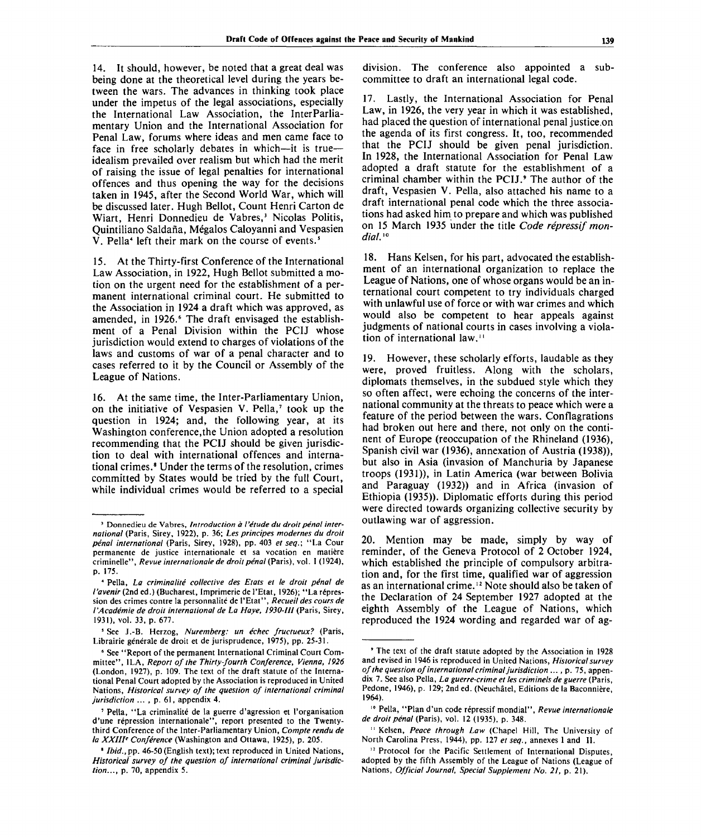14. It should, however, be noted that a great deal was being done at the theoretical level during the years between the wars. The advances in thinking took place under the impetus of the legal associations, especially the International Law Association, the Interparliamentary Union and the International Association for Penal Law, forums where ideas and men came face to face in free scholarly debates in which—it is true idealism prevailed over realism but which had the merit of raising the issue of legal penalties for international offences and thus opening the way for the decisions taken in 1945, after the Second World War, which will be discussed later. Hugh Bellot, Count Henri Carton de viant, Henri Donnedieu de Vabres,<sup>3</sup> Nicolas Politis, Quintiliano Saldaña, Mégalos Caloyanni and Vespasien  $V.$  Pella<sup>4</sup> left their mark on the course of events.<sup>5</sup>

15. At the Thirty-first Conference of the International Law Association, in 1922, Hugh Bellot submitted a motion on the urgent need for the establishment of a permanent international criminal court. He submitted to the Association in 1924 a draft which was approved, as amended, in 1926.<sup>6</sup> The draft envisaged the establishment of a Penal Division within the PCIJ whose jurisdiction would extend to charges of violations of the laws and customs of war of a penal character and to cases referred to it by the Council or Assembly of the League of Nations.

16. At the same time, the Inter-Parliamentary Union, on the initiative of Vespasien V. Pella,<sup>7</sup> took up the question in 1924; and, the following year, at its Washington conference,the Union adopted a resolution recommending that the PCIJ should be given jurisdiction to deal with international offences and international crimes.<sup>8</sup> Under the terms of the resolution, crimes committed by States would be tried by the full Court, while individual crimes would be referred to a special division. The conference also appointed a subcommittee to draft an international legal code.

17. Lastly, the International Association for Penal Law, in 1926, the very year in which it was established, had placed the question of international penal justice.on the agenda of its first congress. It, too, recommended that the PCIJ should be given penal jurisdiction. In 1928, the International Association for Penal Law adopted a draft statute for the establishment of a criminal chamber within the PCIJ.' The author of the draft, Vespasien V. Pella, also attached his name to a draft international penal code which the three associations had asked him to prepare and which was published on 15 March 1935 under the title *Code repressif mondial.<sup>10</sup>*

18. Hans Kelsen, for his part, advocated the establishment of an international organization to replace the League of Nations, one of whose organs would be an international court competent to try individuals charged with unlawful use of force or with war crimes and which would also be competent to hear appeals against judgments of national courts in cases involving a violation of international law."

19. However, these scholarly efforts, laudable as they were, proved fruitless. Along with the scholars, diplomats themselves, in the subdued style which they so often affect, were echoing the concerns of the international community at the threats to peace which were a feature of the period between the wars. Conflagrations had broken out here and there, not only on the continent of Europe (reoccupation of the Rhineland (1936), Spanish civil war (1936), annexation of Austria (1938)), but also in Asia (invasion of Manchuria by Japanese troops (1931)), in Latin America (war between Bolivia and Paraguay (1932)) and in Africa (invasion of Ethiopia (1935)). Diplomatic efforts during this period were directed towards organizing collective security by outlawing war of aggression.

20. Mention may be made, simply by way of reminder, of the Geneva Protocol of 2 October 1924, which established the principle of compulsory arbitration and, for the first time, qualified war of aggression as an international crime.<sup>12</sup> Note should also be taken of the Declaration of 24 September 1927 adopted at the eighth Assembly of the League of Nations, which reproduced the 1924 wording and regarded war of ag-

<sup>&</sup>lt;sup>3</sup> Donnedieu de Vabres, Introduction à l'étude du droit pénal inter*national* (Paris, Sirey, 1922), p. 36; *Les principes modernes du droit penal international* (Paris, Sirey, 1928), pp. 403 *et seq.;* "La Cour permanente de justice internationale et sa vocation en matiere criminelle", *Revue internationale de droit penal* (Paris), vol. I (1924), p. 175.

<sup>4</sup> Pella, *La criminalite collective des Etats et le droit penal de I'avenir* (2nd ed.) (Bucharest, Imprimerie de l'Etat, 1926); "La repression des crimes contre la personnalite de l'Etat", *Recueil des cours de I'Acade'mie de droit international de La Haye, 1930-111* (Paris, Sirey, 1931), vol. 33, p. 677.

See J.-B. Herzog, Nuremberg: un échec fructueux? (Paris, Librairie générale de droit et de jurisprudence, 1975), pp. 25-31.

<sup>6</sup> See "Report of the permanent International Criminal Court Committee", ILA, *Report of the Thirty-fourth Conference, Vienna, 1926* (London, 1927), p. 109. The text of the draft statute of the International Penal Court adopted by the Association is reproduced in United Nations, *Historical survey of the question of international criminal jurisdiction ... ,* p. 61, appendix 4.

<sup>&#</sup>x27; Pella, "La criminalite de la guerre d'agression et l'organisation d'une répression internationale", report presented to the Twentythird Conference of the Inter-Parliamentary Union, *Compte rendu de la XXIII<sup>e</sup> Conference* (Washington and Ottawa, 1925), p. 205.

<sup>•</sup> *Ibid.,* pp. 46-50 (English text); text reproduced in United Nations, *Historical survey of the question of international criminal jurisdiction...,* p. 70, appendix 5.

<sup>9</sup> The text of the draft statute adopted by the Association in 1928 and revised in 1946 is reproduced in United Nations, *Historical survey of the question of international criminal jurisdiction ...,* p. 75, appendix 7. See also Pella, *La guerre-crime et les criminels de guerre* (Paris, Pedone, 1946), p. 129; 2nd ed. (Neuchâtel, Editions de la Baconnière, 1964).

<sup>10</sup> Pella, "Plan d'un code repressif mondial", *Revue internationale de droit penal* (Paris), vol. 12 (1935), p. 348.

<sup>&</sup>lt;sup>11</sup> Kelsen, Peace through Law (Chapel Hill, The University of North Carolina Press, 1944), pp. 127 *et seq.,* annexes I and II.

<sup>&</sup>lt;sup>12</sup> Protocol for the Pacific Settlement of International Disputes adopted by the fifth Assembly of the League of Nations (League of Nations, *Official Journal, Special Supplement No. 21,* p. 21).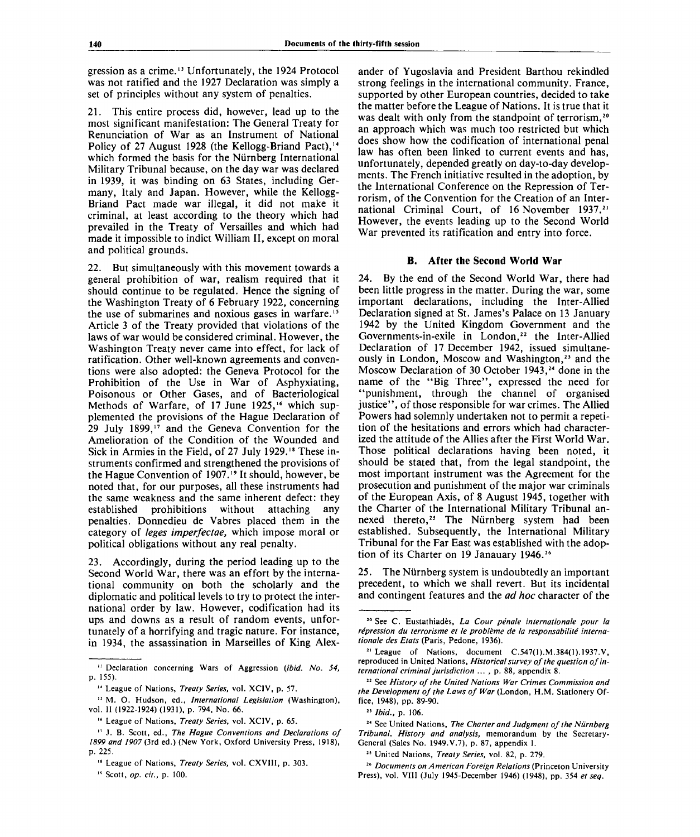gression as a crime.<sup>13</sup> Unfortunately, the 1924 Protocol was not ratified and the 1927 Declaration was simply a set of principles without any system of penalties.

21. This entire process did, however, lead up to the most significant manifestation: The General Treaty for Renunciation of War as an Instrument of National Policy of 27 August 1928 (the Kellogg-Briand Pact),<sup>14</sup> which formed the basis for the Nürnberg International Military Tribunal because, on the day war was declared in 1939, it was binding on 63 States, including Germany, Italy and Japan. However, while the Kellogg-Briand Pact made war illegal, it did not make it criminal, at least according to the theory which had prevailed in the Treaty of Versailles and which had made it impossible to indict William II, except on moral and political grounds.

22. But simultaneously with this movement towards a general prohibition of war, realism required that it should continue to be regulated. Hence the signing of the Washington Treaty of 6 February 1922, concerning the use of submarines and noxious gases in warfare.<sup>15</sup> Article 3 of the Treaty provided that violations of the laws of war would be considered criminal. However, the Washington Treaty never came into effect, for lack of ratification. Other well-known agreements and conventions were also adopted: the Geneva Protocol for the Prohibition of the Use in War of Asphyxiating, Poisonous or Other Gases, and of Bacteriological Methods of Warfare, of 17 June 1925,<sup>16</sup> which supplemented the provisions of the Hague Declaration of 29 July 1899,<sup>17</sup> and the Geneva Convention for the Amelioration of the Condition of the Wounded and Sick in Armies in the Field, of 27 July 1929.<sup>18</sup> These instruments confirmed and strengthened the provisions of the Hague Convention of 1907." It should, however, be noted that, for our purposes, all these instruments had the same weakness and the same inherent defect: they established prohibitions without attaching any penalties. Donnedieu de Vabres placed them in the category of *leges imperfectae,* which impose moral or political obligations without any real penalty.

23. Accordingly, during the period leading up to the Second World War, there was an effort by the international community on both the scholarly and the diplomatic and political levels to try to protect the international order by law. However, codification had its ups and downs as a result of random events, unfortunately of a horrifying and tragic nature. For instance, in 1934, the assassination in Marseilles of King Alexander of Yugoslavia and President Barthou rekindled strong feelings in the international community. France, supported by other European countries, decided to take the matter before the League of Nations. It is true that it was dealt with only from the standpoint of terrorism.<sup>20</sup> an approach which was much too restricted but which does show how the codification of international penal law has often been linked to current events and has, unfortunately, depended greatly on day-to-day developments. The French initiative resulted in the adoption, by the International Conference on the Repression of Terrorism, of the Convention for the Creation of an International Criminal Court, of 16 November 1937.<sup>21</sup> However, the events leading up to the Second World War prevented its ratification and entry into force.

#### **B. After the Second World War**

24. By the end of the Second World War, there had been little progress in the matter. During the war, some important declarations, including the Inter-Allied Declaration signed at St. James's Palace on 13 January 1942 by the United Kingdom Government and the Governments-in-exile in London,<sup>22</sup> the Inter-Allied Declaration of 17 December 1942, issued simultaneously in London, Moscow and Washington,<sup>23</sup> and the Moscow Declaration of 30 October 1943,<sup>24</sup> done in the name of the "Big Three", expressed the need for "punishment, through the channel of organised justice", of those responsible for war crimes. The Allied Powers had solemnly undertaken not to permit a repetition of the hesitations and errors which had characterized the attitude of the Allies after the First World War. Those political declarations having been noted, it should be stated that, from the legal standpoint, the most important instrument was the Agreement for the prosecution and punishment of the major war criminals of the European Axis, of 8 August 1945, together with the Charter of the International Military Tribunal annexed thereto,<sup>25</sup> The Nürnberg system had been established. Subsequently, the International Military Tribunal for the Far East was established with the adoption of its Charter on 19 Janauary 1946.<sup>26</sup>

25. The Niirnberg system is undoubtedly an important precedent, to which we shall revert. But its incidental and contingent features and the *ad hoc* character of the

<sup>13</sup> Declaration concerning Wars of Aggression *(ibid. No. 54,* p. 155).

<sup>14</sup> League of Nations, *Treaty Series,* vol. XCIV, p. 57.

<sup>15</sup> M. O. Hudson, ed., *International Legislation* (Washington), vol. II (1922-1924) (1931), p. 794, No. 66.

<sup>16</sup> League of Nations, *Treaty Series,* vol. XCIV, p. 65.

<sup>17</sup> J. B. Scott, ed., *The Hague Conventions and Declarations of* 1899 and 1907 (3rd ed.) (New York, Oxford University Press, 1918), p. 225.

<sup>18</sup> League of Nations, *Treaty Series,* vol. CXVIII, p. 303.

<sup>&</sup>quot; Scott, *op. cit.,* p. 100.

<sup>&</sup>lt;sup>20</sup> See C. Eustathiadès, La Cour pénale internationale pour la répression du terrorisme et le problème de la responsabilité interna*tionale des Etats* (Paris, Pedone, 1936).

<sup>21</sup> League of Nations, document C.547(1).M.384(1).1937.V, reproduced in United Nations, *Historical survey of the question of international criminal jurisdiction ... ,* p. 88, appendix 8.

<sup>&</sup>lt;sup>22</sup> See History of the United Nations War Crimes Commission and *the Development of the Laws of War* (London, H.M. Stationery Office, 1948), pp. 89-90.

<sup>23</sup>  *Ibid.,* p. 106.

<sup>24</sup> See United Nations, *The Charter and Judgment of the Niirnberg Tribunal. History and analysis,* memorandum by the Secretary-General (Sales No. 1949.V.7), p. 87, appendix I.

<sup>25</sup> United Nations, *Treaty Series,* vol. 82, p. 279.

<sup>26</sup>  *Documents on American Foreign Relations* (Princeton University Press), vol. VIII (July 1945-December 1946) (1948), pp. 354 *et seq.*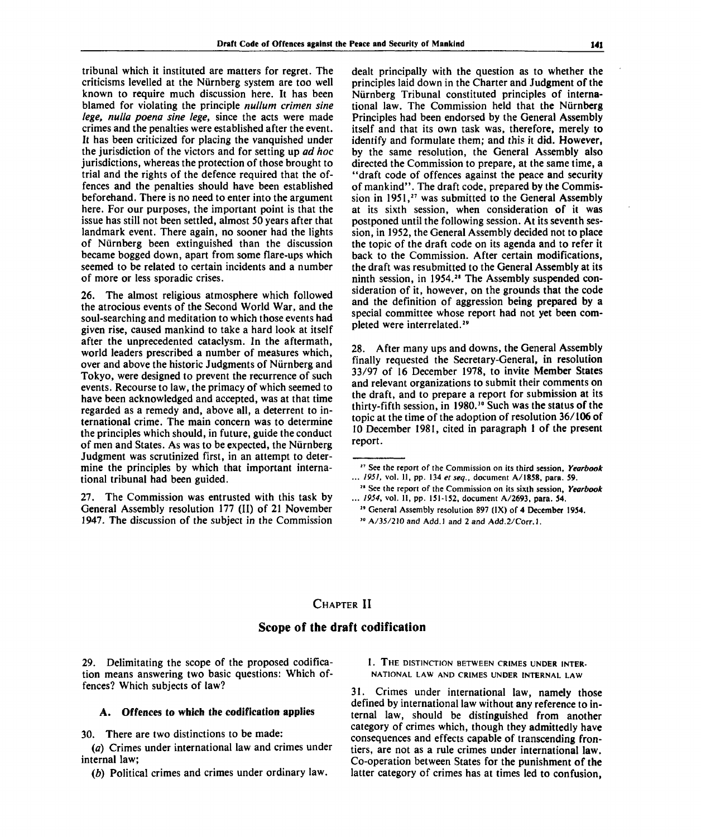tribunal which it instituted are matters for regret. The criticisms levelled at the Niirnberg system are too well known to require much discussion here. It has been blamed for violating the principle *nullum crimen sine lege, nulla poena sine lege,* since the acts were made crimes and the penalties were established after the event. It has been criticized for placing the vanquished under the jurisdiction of the victors and for setting up *ad hoc* jurisdictions, whereas the protection of those brought to trial and the rights of the defence required that the offences and the penalties should have been established beforehand. There is no need to enter into the argument here. For our purposes, the important point is that the issue has still not been settled, almost 50 years after that landmark event. There again, no sooner had the lights of Niirnberg been extinguished than the discussion became bogged down, apart from some flare-ups which seemed to be related to certain incidents and a number of more or less sporadic crises.

26. The almost religious atmosphere which followed the atrocious events of the Second World War, and the soul-searching and meditation to which those events had given rise, caused mankind to take a hard look at itself after the unprecedented cataclysm. In the aftermath, world leaders prescribed a number of measures which, over and above the historic Judgments of Niirnberg and Tokyo, were designed to prevent the recurrence of such events. Recourse to law, the primacy of which seemed to have been acknowledged and accepted, was at that time regarded as a remedy and, above all, a deterrent to international crime. The main concern was to determine the principles which should, in future, guide the conduct of men and States. As was to be expected, the Niirnberg Judgment was scrutinized first, in an attempt to determine the principles by which that important international tribunal had been guided.

27. The Commission was entrusted with this task by General Assembly resolution 177 (II) of 21 November 1947. The discussion of the subject in the Commission dealt principally with the question as to whether the principles laid down in the Charter and Judgment of the Nurnberg Tribunal constituted principles of international law. The Commission held that the Nürnberg Principles had been endorsed by the General Assembly itself and that its own task was, therefore, merely to identify and formulate them; and this it did. However, by the same resolution, the General Assembly also directed the Commission to prepare, at the same time, a "draft code of offences against the peace and security of mankind". The draft code, prepared by the Commission in 1951,<sup>27</sup> was submitted to the General Assembly at its sixth session, when consideration of it was postponed until the following session. At its seventh session, in 1952, the General Assembly decided not to place the topic of the draft code on its agenda and to refer it back to the Commission. After certain modifications, the draft was resubmitted to the General Assembly at its ninth session, in 1954.<sup>28</sup> The Assembly suspended consideration of it, however, on the grounds that the code and the definition of aggression being prepared by a special committee whose report had not yet been completed were interrelated."

28. After many ups and downs, the General Assembly finally requested the Secretary-General, in resolution 33/97 of 16 December 1978, to invite Member States and relevant organizations to submit their comments on the draft, and to prepare a report for submission at its thirty-fifth session, in 1980.<sup>30</sup> Such was the status of the topic at the time of the adoption of resolution 36/106 of 10 December 1981, cited in paragraph 1 of the present report.

**29 General Assembly resolution 897 (IX) of 4 December 1954.**

## CHAPTER **II**

## **Scope of the draft codification**

29. Delimitating the scope of the proposed codification means answering two basic questions: Which offences? Which subjects of law?

#### A. Offences to which the codification applies

30. There are two distinctions to be made:

1. THE DISTINCTION BETWEEN CRIMES UNDER INTER-**NATIONAL LAW AND CRIMES UNDER INTERNAL LAW**

31. Crimes under international law, namely those defined by international law without any reference to internal law, should be distinguished from another category of crimes which, though they admittedly have consequences and effects capable of transcending frontiers, are not as a rule crimes under international law. Co-operation between States for the punishment of the latter category of crimes has at times led to confusion,

**<sup>27</sup> See the report of the Commission on its third session,** *Yearbook* **...** *1951,* **vol. II, pp. 134** *et seq.,* **document A/1858, para. 59.**

**<sup>21</sup> See the report of the Commission on its sixth session,** *Yearbook* **...** *1954,* **vol. II, pp. 151-152, document A/2693, para. 54.**

**<sup>30</sup> A/35/210 and Add.l and 2 and Add.2/Corr.l.**

<sup>(</sup>a) Crimes under international law and crimes under internal law;

<sup>(</sup>b) Political crimes and crimes under ordinary law.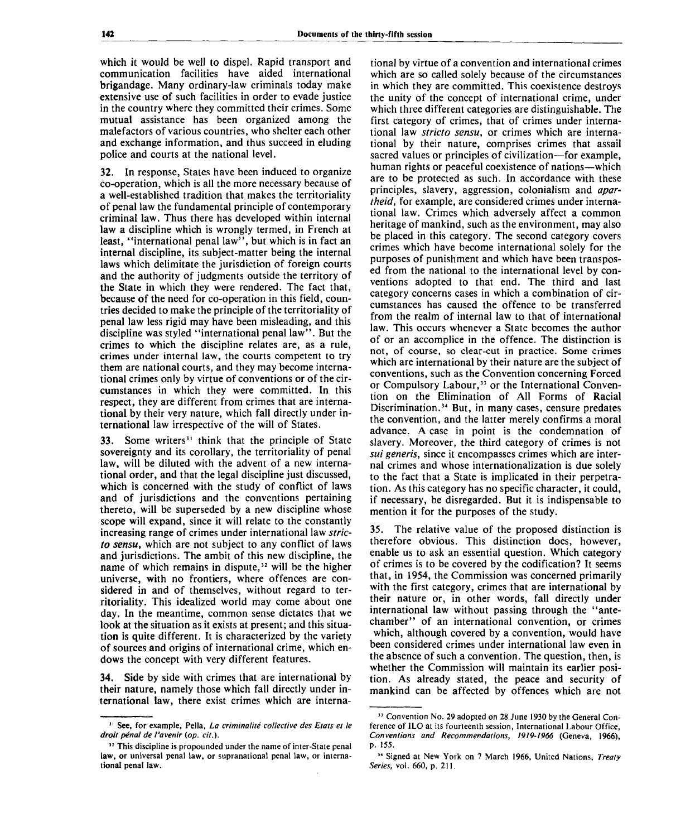which it would be well to dispel. Rapid transport and communication facilities have aided international brigandage. Many ordinary-law criminals today make extensive use of such facilities in order to evade justice in the country where they committed their crimes. Some mutual assistance has been organized among the malefactors of various countries, who shelter each other and exchange information, and thus succeed in eluding police and courts at the national level.

32. In response, States have been induced to organize co-operation, which is all the more necessary because of a well-established tradition that makes the territoriality of penal law the fundamental principle of contemporary criminal law. Thus there has developed within internal law a discipline which is wrongly termed, in French at least, "international penal law", but which is in fact an internal discipline, its subject-matter being the internal laws which delimitate the jurisdiction of foreign courts and the authority of judgments outside the territory of the State in which they were rendered. The fact that, because of the need for co-operation in this field, countries decided to make the principle of the territoriality of penal law less rigid may have been misleading, and this discipline was styled "international penal law". But the crimes to which the discipline relates are, as a rule, crimes under internal law, the courts competent to try them are national courts, and they may become international crimes only by virtue of conventions or of the circumstances in which they were committed. In this respect, they are different from crimes that are international by their very nature, which fall directly under international law irrespective of the will of States.

33. Some writers<sup>31</sup> think that the principle of State sovereignty and its corollary, the territoriality of penal law, will be diluted with the advent of a new international order, and that the legal discipline just discussed, which is concerned with the study of conflict of laws and of jurisdictions and the conventions pertaining thereto, will be superseded by a new discipline whose scope will expand, since it will relate to the constantly increasing range of crimes under international law *stricto sensu,* which are not subject to any conflict of laws and jurisdictions. The ambit of this new discipline, the name of which remains in dispute,<sup>32</sup> will be the higher universe, with no frontiers, where offences are considered in and of themselves, without regard to territoriality. This idealized world may come about one day. In the meantime, common sense dictates that we look at the situation as it exists at present; and this situation is quite different. It is characterized by the variety of sources and origins of international crime, which endows the concept with very different features.

34. Side by side with crimes that are international by their nature, namely those which fall directly under international law, there exist crimes which are international by virtue of a convention and international crimes which are so called solely because of the circumstances in which they are committed. This coexistence destroys the unity of the concept of international crime, under which three different categories are distinguishable. The first category of crimes, that of crimes under international law *stricto sensu,* or crimes which are international by their nature, comprises crimes that assail sacred values or principles of civilization—for example, human rights or peaceful coexistence of nations—which are to be protected as such. In accordance with these principles, slavery, aggression, colonialism and *apartheid,* for example, are considered crimes under international law. Crimes which adversely affect a common heritage of mankind, such as the environment, may also be placed in this category. The second category covers crimes which have become international solely for the purposes of punishment and which have been transposed from the national to the international level by conventions adopted to that end. The third and last category concerns cases in which a combination of circumstances has caused the offence to be transferred from the realm of internal law to that of international law. This occurs whenever a State becomes the author of or an accomplice in the offence. The distinction is not, of course, so clear-cut in practice. Some crimes which are international by their nature are the subject of conventions, such as the Convention concerning Forced or Compulsory Labour,<sup>33</sup> or the International Convention on the Elimination of All Forms of Racial Discrimination.<sup>34</sup> But, in many cases, censure predates the convention, and the latter merely confirms a moral advance. A case in point is the condemnation of slavery. Moreover, the third category of crimes is not *sui generis,* since it encompasses crimes which are internal crimes and whose internationalization is due solely to the fact that a State is implicated in their perpetration. As this category has no specific character, it could, if necessary, be disregarded. But it is indispensable to mention it for the purposes of the study.

35. The relative value of the proposed distinction is therefore obvious. This distinction does, however, enable us to ask an essential question. Which category of crimes is to be covered by the codification? It seems that, in 1954, the Commission was concerned primarily with the first category, crimes that are international by their nature or, in other words, fall directly under international law without passing through the "antechamber" of an international convention, or crimes which, although covered by a convention, would have been considered crimes under international law even in the absence of such a convention. The question, then, is whether the Commission will maintain its earlier position. As already stated, the peace and security of mankind can be affected by offences which are not

<sup>31</sup>  **See, for** example, Pella, *La criminalite collective des Etats et le droit penal de I'avenir (op. cit.).*

**<sup>&</sup>quot; This** discipline is propounded under the name of inter-State penal **law,** or universal penal law, or supranational penal law, or **international penal law.**

<sup>&</sup>lt;sup>33</sup> Convention No. 29 adopted on 28 June 1930 by the General Conference of ILO at its fourteenth session, International Labour Office, *Conventions and Recommendations, 1919-1966* (Geneva, 1966), p. 155.

<sup>34</sup> Signed at New York on 7 March 1966, United Nations, *Treaty Series,* vol. 660, p. 211.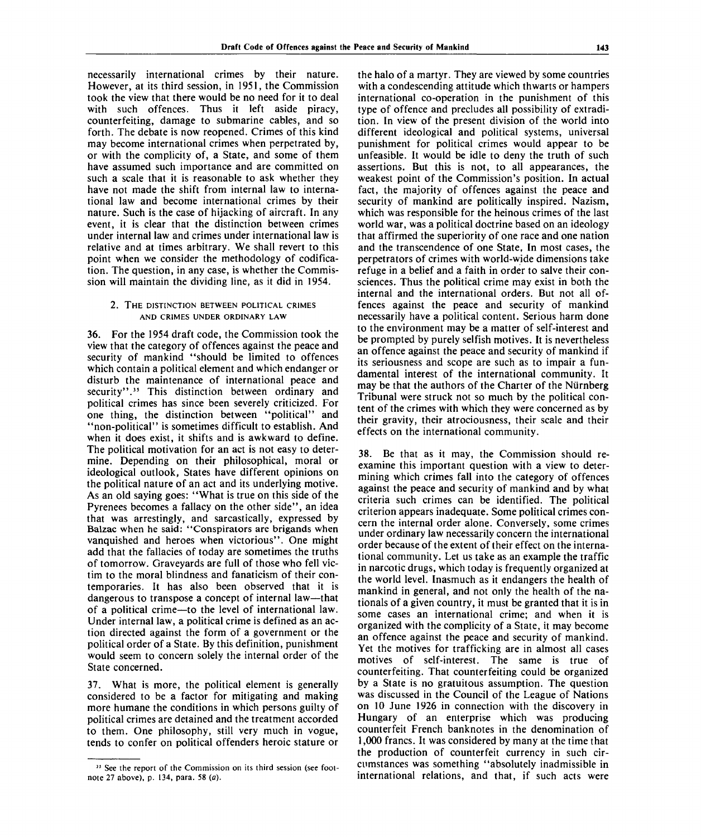necessarily international crimes by their nature. However, at its third session, in 1951, the Commission took the view that there would be no need for it to deal with such offences. Thus it left aside piracy, counterfeiting, damage to submarine cables, and so forth. The debate is now reopened. Crimes of this kind may become international crimes when perpetrated by, or with the complicity of, a State, and some of them have assumed such importance and are committed on such a scale that it is reasonable to ask whether they have not made the shift from internal law to international law and become international crimes by their nature. Such is the case of hijacking of aircraft. In any event, it is clear that the distinction between crimes under internal law and crimes under international law is relative and at times arbitrary. We shall revert to this point when we consider the methodology of codification. The question, in any case, is whether the Commission will maintain the dividing line, as it did in 1954.

#### 2. THE DISTINCTION BETWEEN POLITICAL CRIMES AND CRIMES UNDER ORDINARY LAW

36. For the 1954 draft code, the Commission took the view that the category of offences against the peace and security of mankind "should be limited to offences which contain a political element and which endanger or disturb the maintenance of international peace and security".<sup>35</sup> This distinction between ordinary and political crimes has since been severely criticized. For one thing, the distinction between "political" and "non-political" is sometimes difficult to establish. And when it does exist, it shifts and is awkward to define. The political motivation for an act is not easy to determine. Depending on their philosophical, moral or ideological outlook, States have different opinions on the political nature of an act and its underlying motive. As an old saying goes: "What is true on this side of the Pyrenees becomes a fallacy on the other side", an idea that was arrestingly, and sarcastically, expressed by Balzac when he said: "Conspirators are brigands when vanquished and heroes when victorious". One might add that the fallacies of today are sometimes the truths of tomorrow. Graveyards are full of those who fell victim to the moral blindness and fanaticism of their contemporaries. It has also been observed that it is dangerous to transpose a concept of internal law—that of a political crime—to the level of international law. Under internal law, a political crime is defined as an action directed against the form of a government or the political order of a State. By this definition, punishment would seem to concern solely the internal order of the State concerned.

37. What is more, the political element is generally considered to be a factor for mitigating and making more humane the conditions in which persons guilty of political crimes are detained and the treatment accorded to them. One philosophy, still very much in vogue, tends to confer on political offenders heroic stature or

the halo of a martyr. They are viewed by some countries with a condescending attitude which thwarts or hampers international co-operation in the punishment of this type of offence and precludes all possibility of extradition. In view of the present division of the world into different ideological and political systems, universal punishment for political crimes would appear to be unfeasible. It would be idle to deny the truth of such assertions. But this is not, to all appearances, the weakest point of the Commission's position. In actual fact, the majority of offences against the peace and security of mankind are politically inspired. Nazism, which was responsible for the heinous crimes of the last world war, was a political doctrine based on an ideology that affirmed the superiority of one race and one nation and the transcendence of one State, In most cases, the perpetrators of crimes with world-wide dimensions take refuge in a belief and a faith in order to salve their consciences. Thus the political crime may exist in both the internal and the international orders. But not all offences against the peace and security of mankind necessarily have a political content. Serious harm done to the environment may be a matter of self-interest and be prompted by purely selfish motives. It is nevertheless an offence against the peace and security of mankind if its seriousness and scope are such as to impair a fundamental interest of the international community. It may be that the authors of the Charter of the Nürnberg Tribunal were struck not so much by the political content of the crimes with which they were concerned as by their gravity, their atrociousness, their scale and their effects on the international community.

38. Be that as it may, the Commission should reexamine this important question with a view to determining which crimes fall into the category of offences against the peace and security of mankind and by what criteria such crimes can be identified. The political criterion appears inadequate. Some political crimes concern the internal order alone. Conversely, some crimes under ordinary law necessarily concern the international order because of the extent of their effect on the international community. Let us take as an example the traffic in narcotic drugs, which today is frequently organized at the world level. Inasmuch as it endangers the health of mankind in general, and not only the health of the nationals of a given country, it must be granted that it is in some cases an international crime; and when it is organized with the complicity of a State, it may become an offence against the peace and security of mankind. Yet the motives for trafficking are in almost all cases motives of self-interest. The same is true of counterfeiting. That counterfeiting could be organized by a State is no gratuitous assumption. The question was discussed in the Council of the League of Nations on 10 June 1926 in connection with the discovery in Hungary of an enterprise which was producing counterfeit French banknotes in the denomination of 1,000 francs. It was considered by many at the time that the production of counterfeit currency in such circumstances was something "absolutely inadmissible in international relations, and that, if such acts were

<sup>&</sup>lt;sup>35</sup> See the report of the Commission on its third session (see footnote 27 above), p. 134, para. 58 *(a).*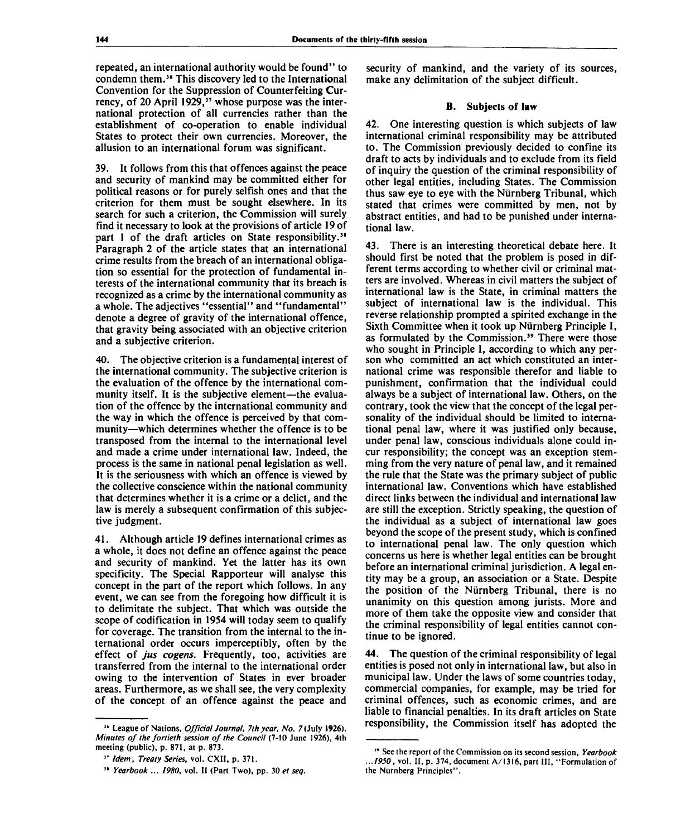repeated, an international authority would be found" to condemn them.<sup>36</sup> This discovery led to the International Convention for the Suppression of Counterfeiting Currency, of 20 April 1929, $\cdot$ <sup>37</sup> whose purpose was the international protection of all currencies rather than the establishment of co-operation to enable individual States to protect their own currencies. Moreover, the allusion to an international forum was significant.

39. It follows from this that offences against the peace and security of mankind may be committed either for political reasons or for purely selfish ones and that the criterion for them must be sought elsewhere. In its search for such a criterion, the Commission will surely find it necessary to look at the provisions of article 19 of part 1 of the draft articles on State responsibility.<sup>38</sup> Paragraph 2 of the article states that an international crime results from the breach of an international obligation so essential for the protection of fundamental interests of the international community that its breach is recognized as a crime by the international community as a whole. The adjectives "essential" and "fundamental" denote a degree of gravity of the international offence, that gravity being associated with an objective criterion and a subjective criterion.

40. The objective criterion is a fundamental interest of the international community. The subjective criterion is the evaluation of the offence by the international community itself. It is the subjective element—the evaluation of the offence by the international community and the way in which the offence is perceived by that community—which determines whether the offence is to be transposed from the internal to the international level and made a crime under international law. Indeed, the process is the same in national penal legislation as well. It is the seriousness with which an offence is viewed by the collective conscience within the national community that determines whether it is a crime or a delict, and the law is merely a subsequent confirmation of this subjective judgment.

41. Although article 19 defines international crimes as a whole, it does not define an offence against the peace and security of mankind. Yet the latter has its own specificity. The Special Rapporteur will analyse this concept in the part of the report which follows. In any event, we can see from the foregoing how difficult it is to delimitate the subject. That which was outside the scope of codification in 1954 will today seem to qualify for coverage. The transition from the internal to the international order occurs imperceptibly, often by the effect of *jus cogens.* Frequently, too, activities are transferred from the internal to the international order owing to the intervention of States in ever broader areas. Furthermore, as we shall see, the very complexity of the concept of an offence against the peace and

security of mankind, and the variety of its sources, make any delimitation of the subject difficult.

#### B. Subjects of **law**

42. One interesting question is which subjects of law international criminal responsibility may be attributed to. The Commission previously decided to confine its draft to acts by individuals and to exclude from its field of inquiry the question of the criminal responsibility of other legal entities, including States. The Commission thus saw eye to eye with the Nurnberg Tribunal, which stated that crimes were committed by men, not by abstract entities, and had to be punished under international law.

43. There is an interesting theoretical debate here. It should first be noted that the problem is posed in different terms according to whether civil or criminal matters are involved. Whereas in civil matters the subject of international law is the State, in criminal matters the subject of international law is the individual. This reverse relationship prompted a spirited exchange in the Sixth Committee when it took up Nurnberg Principle I, as formulated by the Commission.<sup>39</sup> There were those who sought in Principle I, according to which any person who committed an act which constituted an international crime was responsible therefor and liable to punishment, confirmation that the individual could always be a subject of international law. Others, on the contrary, took the view that the concept of the legal personality of the individual should be limited to international penal law, where it was justified only because, under penal law, conscious individuals alone could incur responsibility; the concept was an exception stemming from the very nature of penal law, and it remained the rule that the State was the primary subject of public international law. Conventions which have established direct links between the individual and international law are still the exception. Strictly speaking, the question of the individual as a subject of international law goes beyond the scope of the present study, which is confined to international penal law. The only question which concerns us here is whether legal entities can be brought before an international criminal jurisdiction. A legal entity may be a group, an association or a State. Despite the position of the Nurnberg Tribunal, there is no unanimity on this question among jurists. More and more of them take the opposite view and consider that the criminal responsibility of legal entities cannot continue to be ignored.

44. The question of the criminal responsibility of legal entities is posed not only in international law, but also in municipal law. Under the laws of some countries today, commercial companies, for example, may be tried for criminal offences, such as economic crimes, and are liable to financial penalties. In its draft articles on State responsibility, the Commission itself has adopted the

<sup>&</sup>lt;sup>36</sup> League of Nations, *Official Journal, 7th year, No. 7* (July 1926). *Minutes of the fortieth session of the Council* (7-10 June 1926), 4th meeting (public), p. 871, at p. 873.

<sup>37</sup>  *Idem, Treaty Series,* vol. CXII, p. 371.

<sup>51</sup>  *Yearbook ... 1980,* vol. II (Part Two), pp. 30 *et seq.*

<sup>&</sup>quot; See the report of the Commission on its second session, *Yearbook ...1950,\o\.* II, p. 374, document A/1316, part III, "Formulation of the Nurnberg Principles".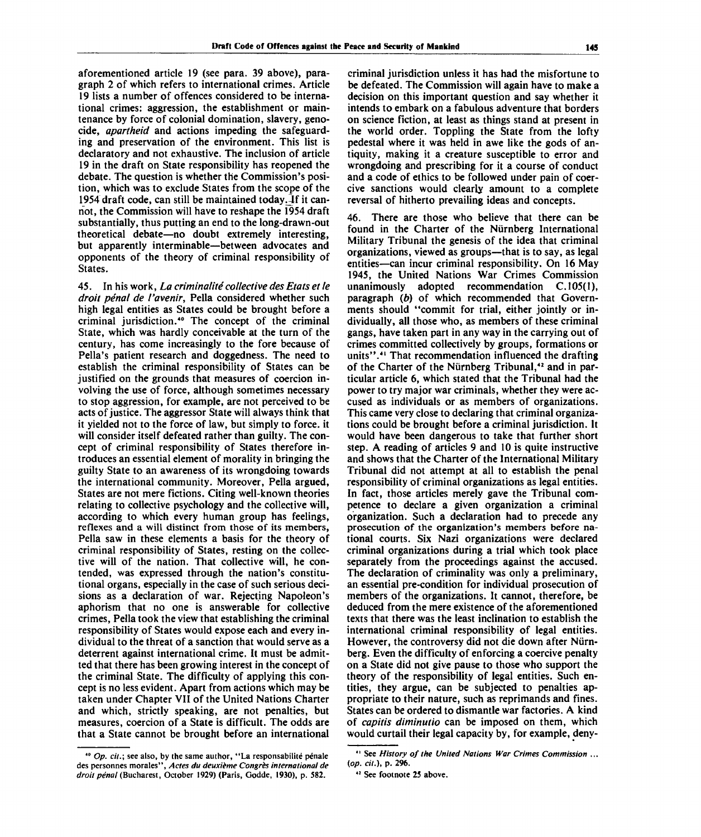aforementioned article 19 (see para. 39 above), paragraph 2 of which refers to international crimes. Article 19 lists a number of offences considered to be international crimes: aggression, the establishment or maintenance by force of colonial domination, slavery, genocide, *apartheid* and actions impeding the safeguarding and preservation of the environment. This list is declaratory and not exhaustive. The inclusion of article 19 in the draft on State responsibility has reopened the debate. The question is whether the Commission's position, which was to exclude States from the scope of the 1954 draft code, can still be maintained today. If it cannot, the Commission will have to reshape the 1954 draft substantially, thus putting an end to the long-drawn-out theoretical debate—no doubt extremely interesting, but apparently interminable—between advocates and opponents of the theory of criminal responsibility of States.

45. In his work, *La criminalite collective des Etats et le droit penal de I'avenir,* Pella considered whether such high legal entities as States could be brought before a criminal jurisdiction.<sup>40</sup> The concept of the criminal State, which was hardly conceivable at the turn of the century, has come increasingly to the fore because of Pella's patient research and doggedness. The need to establish the criminal responsibility of States can be justified on the grounds that measures of coercion involving the use of force, although sometimes necessary to stop aggression, for example, are not perceived to be acts of justice. The aggressor State will always think that it yielded not to the force of law, but simply to force, it will consider itself defeated rather than guilty. The concept of criminal responsibility of States therefore introduces an essential element of morality in bringing the guilty State to an awareness of its wrongdoing towards the international community. Moreover, Pella argued, States are not mere fictions. Citing well-known theories relating to collective psychology and the collective will, according to which every human group has feelings, reflexes and a will distinct from those of its members, Pella saw in these elements a basis for the theory of criminal responsibility of States, resting on the collective will of the nation. That collective will, he contended, was expressed through the nation's constitutional organs, especially in the case of such serious decisions as a declaration of war. Rejecting Napoleon's aphorism that no one is answerable for collective crimes, Pella took the view that establishing the criminal responsibility of States would expose each and every individual to the threat of a sanction that would serve as a deterrent against international crime. It must be admitted that there has been growing interest in the concept of the criminal State. The difficulty of applying this concept is no less evident. Apart from actions which may be taken under Chapter VII of the United Nations Charter and which, strictly speaking, are not penalties, but measures, coercion of a State is difficult. The odds are that a State cannot be brought before an international

criminal jurisdiction unless it has had the misfortune to be defeated. The Commission will again have to make a decision on this important question and say whether it intends to embark on a fabulous adventure that borders on science fiction, at least as things stand at present in the world order. Toppling the State from the lofty pedestal where it was held in awe like the gods of antiquity, making it a creature susceptible to error and wrongdoing and prescribing for it a course of conduct and a code of ethics to be followed under pain of coercive sanctions would clearly amount to a complete reversal of hitherto prevailing ideas and concepts.

46. There are those who believe that there can be found in the Charter of the Niirnberg International Military Tribunal the genesis of the idea that criminal organizations, viewed as groups—that is to say, as legal entities—can incur criminal responsibility. On 16 May 1945, the United Nations War Crimes Commission unanimously adopted recommendation C.105(1), paragraph *(b)* of which recommended that Governments should "commit for trial, either jointly or individually, all those who, as members of these criminal gangs, have taken part in any way in the carrying out of crimes committed collectively by groups, formations or units".<sup>41</sup> That recommendation influenced the drafting of the Charter of the Nürnberg Tribunal,<sup>42</sup> and in particular article 6, which stated that the Tribunal had the power to try major war criminals, whether they were accused as individuals or as members of organizations. This came very close to declaring that criminal organizations could be brought before a criminal jurisdiction. It would have been dangerous to take that further short step. A reading of articles 9 and 10 is quite instructive and shows that the Charter of the International Military Tribunal did not attempt at all to establish the penal responsibility of criminal organizations as legal entities. In fact, those articles merely gave the Tribunal competence to declare a given organization a criminal organization. Such a declaration had to precede any prosecution of the organization's members before national courts. Six Nazi organizations were declared criminal organizations during a trial which took place separately from the proceedings against the accused. The declaration of criminality was only a preliminary, an essential pre-condition for individual prosecution of members of the organizations. It cannot, therefore, be deduced from the mere existence of the aforementioned texts that there was the least inclination to establish the international criminal responsibility of legal entities. However, the controversy did not die down after Niirnberg. Even the difficulty of enforcing a coercive penalty on a State did not give pause to those who support the theory of the responsibility of legal entities. Such entities, they argue, can be subjected to penalties appropriate to their nature, such as reprimands and fines. States can be ordered to dismantle war factories. A kind of *capitis diminutio* can be imposed on them, which would curtail their legal capacity by, for example, deny-

<sup>&</sup>lt;sup>40</sup> Op. cit.; see also, by the same author, "La responsabilité pénale des personnes morales", *Actes du deuxieme Congres international de droit penal* (Bucharest, October 1929) (Paris, Godde, 1930), p. 582.

*<sup>&</sup>quot;* See *History of the United Nations War Crimes Commission* ... *(op. cit.),* p. 296.

*<sup>\*</sup> 2* See footnote 25 above.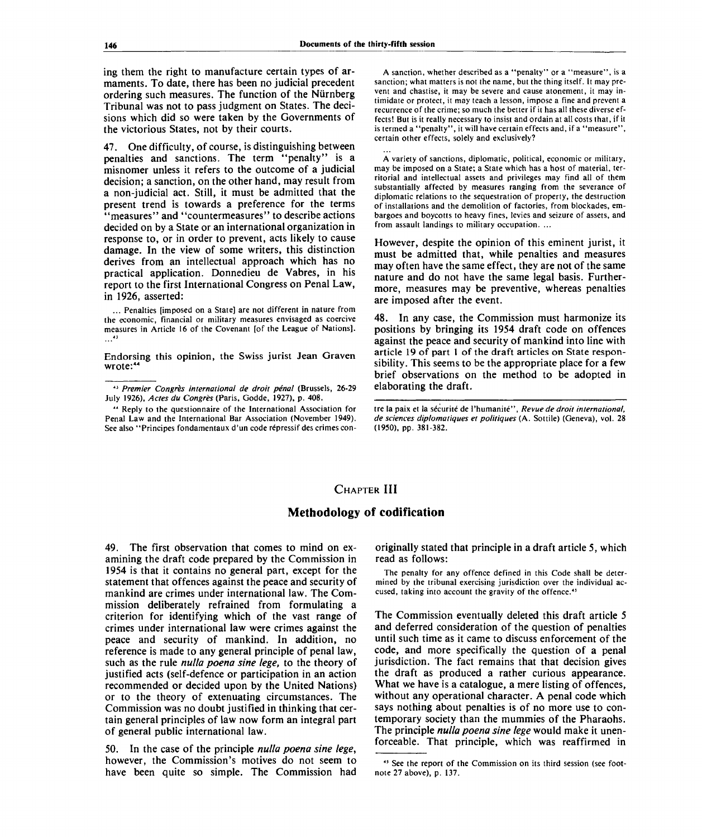ing them the right to manufacture certain types of armaments. To date, there has been no judicial precedent ordering such measures. The function of the Niirnberg Tribunal was not to pass judgment on States. The decisions which did so were taken by the Governments of the victorious States, not by their courts.

47. One difficulty, of course, is distinguishing between penalties and sanctions. The term "penalty" is a misnomer unless it refers to the outcome of a judicial decision; a sanction, on the other hand, may result from a non-judicial act. Still, it must be admitted that the present trend is towards a preference for the terms "measures" and "countermeasures" to describe actions decided on by a State or an international organization in response to, or in order to prevent, acts likely to cause damage. In the view of some writers, this distinction derives from an intellectual approach which has no practical application. Donnedieu de Vabres, in his report to the first International Congress on Penal Law, in 1926, asserted:

... Penalties [imposed on a State] are not different in nature from the economic, financial or military measures envisaged as coercive measures in Article 16 of the Covenant [of the League of Nations]. **43**

Endorsing this opinion, the Swiss jurist Jean Graven wrote:<sup>44</sup>

44 Reply to the questionnaire of the International Association for Penal Law and the International Bar Association (November 1949). See also "Principes fondamentaux d'un code repressif des crimes con-

A sanction, whether described as a "penalty" or a "measure", is a sanction; what matters is not the name, but the thing itself. It may prevent and chastise, it may be severe and cause atonement, it may intimidate or protect, it may teach a lesson, impose a fine and prevent a recurrence of the crime; so much the better if it has all these diverse effects! But is it really necessary to insist and ordain at all costs that, if it is termed a "penalty", it will have certain effects and, if a "measure", certain other effects, solely and exclusively?

A variety of sanctions, diplomatic, political, economic or military, may be imposed on a State; a State which has a host of material, territorial and intellectual assets and privileges may find all of them substantially affected by measures ranging from the severance of diplomatic relations to the sequestration of property, the destruction of installations and the demolition of factories, from blockades, embargoes and boycotts to heavy fines, levies and seizure of assets, and from assault landings to military occupation. ...

However, despite the opinion of this eminent jurist, it must be admitted that, while penalties and measures may often have the same effect, they are not of the same nature and do not have the same legal basis. Furthermore, measures may be preventive, whereas penalties are imposed after the event.

48. In any case, the Commission must harmonize its positions by bringing its 1954 draft code on offences against the peace and security of mankind into line with article 19 of part 1 of the draft articles on State responsibility. This seems to be the appropriate place for a few brief observations on the method to be adopted in elaborating the draft.

tre la paix et la securite de Phumanite", *Revue de droit international, de sciences diplomatiques et politiques* (A. Sottile) (Geneva), vol. 28 (1950), pp. 381-382.

#### CHAPTER **III**

### **Methodology of codification**

49. The first observation that comes to mind on examining the draft code prepared by the Commission in 1954 is that it contains no general part, except for the statement that offences against the peace and security of mankind are crimes under international law. The Commission deliberately refrained from formulating a criterion for identifying which of the vast range of crimes under international law were crimes against the peace and security of mankind. In addition, no reference is made to any general principle of penal law, such as the rule *nulla poena sine lege,* to the theory of justified acts (self-defence or participation in an action recommended or decided upon by the United Nations) or to the theory of extenuating circumstances. The Commission was no doubt justified in thinking that certain general principles of law now form an integral part of general public international law.

50. In the case of the principle *nulla poena sine lege,* however, the Commission's motives do not seem to have been quite so simple. The Commission had originally stated that principle in a draft article 5, which read as follows:

The penalty for any offence defined in this Code shall be determined by the tribunal exercising jurisdiction over the individual accused, taking into account the gravity of the offence.<sup>45</sup>

The Commission eventually deleted this draft article 5 and deferred consideration of the question of penalties until such time as it came to discuss enforcement of the code, and more specifically the question of a penal jurisdiction. The fact remains that that decision gives the draft as produced a rather curious appearance. What we have is a catalogue, a mere listing of offences, without any operational character. A penal code which says nothing about penalties is of no more use to contemporary society than the mummies of the Pharaohs. The principle *nulla poena sine lege* would make it unenforceable. That principle, which was reaffirmed in

<sup>43</sup>  *Premier Congres international de droit penal* (Brussels, 26-29 July 1926), *Actes du Congres* (Paris, Godde, 1927), p. 408.

<sup>&</sup>lt;sup>45</sup> See the report of the Commission on its third session (see footnote 27 above), p. 137.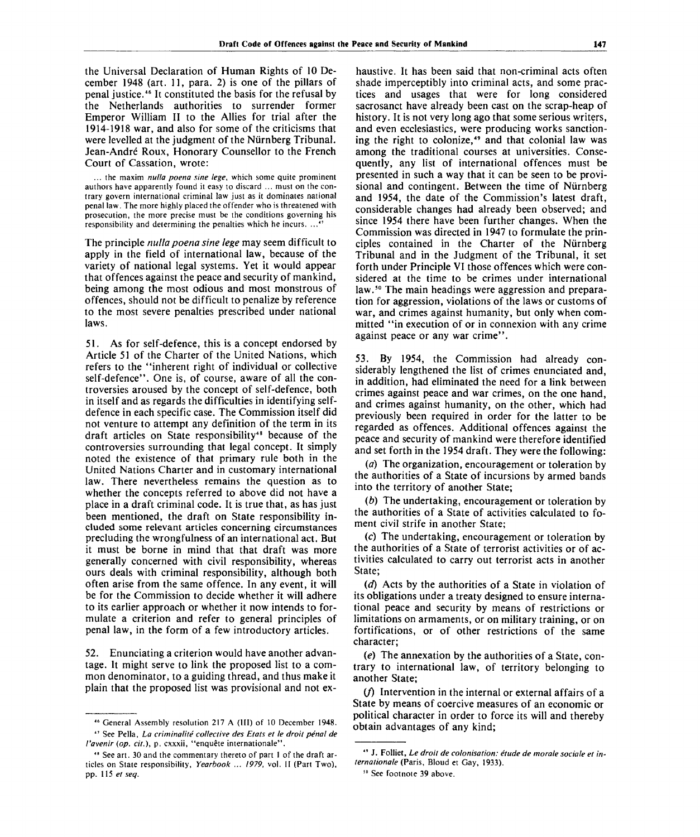the Universal Declaration of Human Rights of 10 December 1948 (art. 11, para. 2) is one of the pillars of penal justice.<sup>46</sup> It constituted the basis for the refusal by the Netherlands authorities to surrender former Emperor William II to the Allies for trial after the 1914-1918 war, and also for some of the criticisms that were levelled at the judgment of the Niirnberg Tribunal. Jean-André Roux, Honorary Counsellor to the French Court of Cassation, wrote:

... the maxim *nulla poena sine lege,* which some quite prominent authors have apparently found it easy to discard ... must on the contrary govern international criminal law just as it dominates national penal law. The more highly placed the offender who is threatened with prosecution, the more precise must be the conditions governing his responsibility and determining the penalties which he incurs. ...<sup>4</sup>

The principle *nulla poena sine lege* may seem difficult to apply in the field of international law, because of the variety of national legal systems. Yet it would appear that offences against the peace and security of mankind, being among the most odious and most monstrous of offences, should not be difficult to penalize by reference to the most severe penalties prescribed under national laws.

51. As for self-defence, this is a concept endorsed by Article 51 of the Charter of the United Nations, which refers to the "inherent right of individual or collective self-defence". One is, of course, aware of all the controversies aroused by the concept of self-defence, both in itself and as regards the difficulties in identifying selfdefence in each specific case. The Commission itself did not venture to attempt any definition of the term in its draft articles on State responsibility<sup>48</sup> because of the controversies surrounding that legal concept. It simply noted the existence of that primary rule both in the United Nations Charter and in customary international law. There nevertheless remains the question as to whether the concepts referred to above did not have a place in a draft criminal code. It is true that, as has just been mentioned, the draft on State responsibility included some relevant articles concerning circumstances precluding the wrongfulness of an international act. But it must be borne in mind that that draft was more generally concerned with civil responsibility, whereas ours deals with criminal responsibility, although both often arise from the same offence. In any event, it will be for the Commission to decide whether it will adhere to its earlier approach or whether it now intends to formulate a criterion and refer to general principles of penal law, in the form of a few introductory articles.

52. Enunciating a criterion would have another advantage. It might serve to link the proposed list to a common denominator, to a guiding thread, and thus make it plain that the proposed list was provisional and not ex-

haustive. It has been said that non-criminal acts often shade imperceptibly into criminal acts, and some practices and usages that were for long considered sacrosanct have already been cast on the scrap-heap of history. It is not very long ago that some serious writers, and even ecclesiastics, were producing works sanctioning the right to colonize,<sup>49</sup> and that colonial law was among the traditional courses at universities. Consequently, any list of international offences must be presented in such a way that it can be seen to be provisional and contingent. Between the time of Niirnberg and 1954, the date of the Commission's latest draft, considerable changes had already been observed; and since 1954 there have been further changes. When the Commission was directed in 1947 to formulate the principles contained in the Charter of the Niirnberg Tribunal and in the Judgment of the Tribunal, it set forth under Principle VI those offences which were considered at the time to be crimes under international law.<sup>50</sup> The main headings were aggression and preparation for aggression, violations of the laws or customs of war, and crimes against humanity, but only when committed "in execution of or in connexion with any crime against peace or any war crime".

53. By 1954, the Commission had already considerably lengthened the list of crimes enunciated and, in addition, had eliminated the need for a link between crimes against peace and war crimes, on the one hand, and crimes against humanity, on the other, which had previously been required in order for the latter to be regarded as offences. Additional offences against the peace and security of mankind were therefore identified and set forth in the 1954 draft. They were the following:

*(a)* The organization, encouragement or toleration by the authorities of a State of incursions by armed bands into the territory of another State;

*(b)* The undertaking, encouragement or toleration by the authorities of a State of activities calculated to foment civil strife in another State;

(c) The undertaking, encouragement or toleration by the authorities of a State of terrorist activities or of activities calculated to carry out terrorist acts in another State;

*(d)* Acts by the authorities of a State in violation of its obligations under a treaty designed to ensure international peace and security by means of restrictions or limitations on armaments, or on military training, or on fortifications, or of other restrictions of the same character;

*(e)* The annexation by the authorities of a State, contrary to international law, of territory belonging to another State;

 $(f)$  Intervention in the internal or external affairs of a State by means of coercive measures of an economic or political character in order to force its will and thereby obtain advantages of any kind;

<sup>&</sup>lt;sup>46</sup> General Assembly resolution 217 A (III) of 10 December 1948. <sup>47</sup> See Pella, *La criminalité collective des Etats et le droit pénal de l'avenir (op. cit.)*, p. cxxxii, "enquête internationale".

<sup>48</sup> See art. 30 and the commentary thereto of part 1 of the draft articles on State responsibility, *Yearbook ... 1979,* vol. II (Part Two), pp. 115 *et seq.*

<sup>&</sup>lt;sup>49</sup> J. Folliet, *Le droit de colonisation: étude de morale sociale et internationale* (Paris, Bloud et Gay, 1933).

<sup>&</sup>lt;sup>50</sup> See footnote 39 above.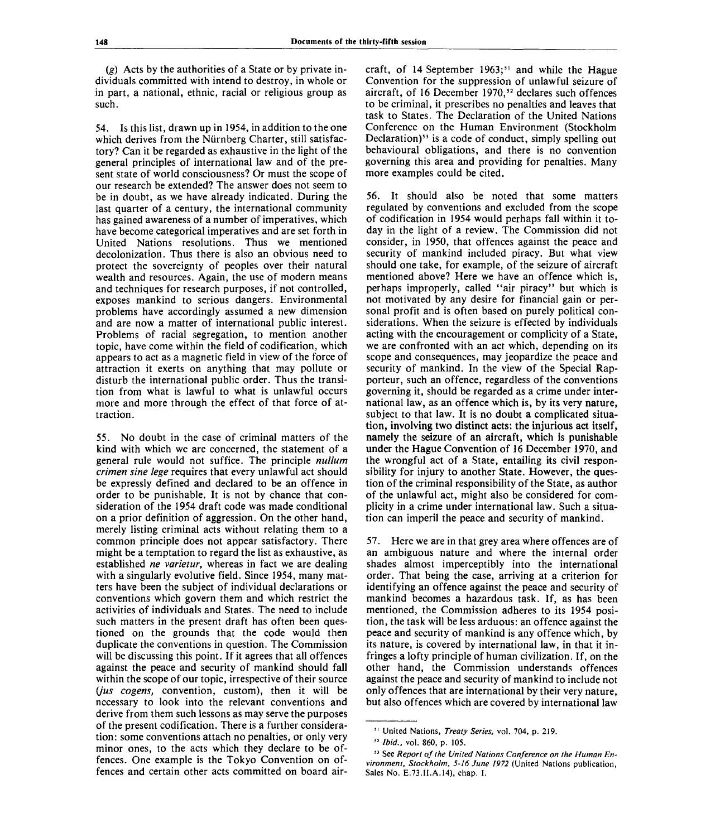(g) Acts by the authorities of a State or by private individuals committed with intend to destroy, in whole or in part, a national, ethnic, racial or religious group as such.

54. Is this list, drawn up in 1954, in addition to the one which derives from the Nürnberg Charter, still satisfactory? Can it be regarded as exhaustive in the light of the general principles of international law and of the present state of world consciousness? Or must the scope of our research be extended? The answer does not seem to be in doubt, as we have already indicated. During the last quarter of a century, the international community has gained awareness of a number of imperatives, which have become categorical imperatives and are set forth in United Nations resolutions. Thus we mentioned decolonization. Thus there is also an obvious need to protect the sovereignty of peoples over their natural wealth and resources. Again, the use of modern means and techniques for research purposes, if not controlled, exposes mankind to serious dangers. Environmental problems have accordingly assumed a new dimension and are now a matter of international public interest. Problems of racial segregation, to mention another topic, have come within the field of codification, which appears to act as a magnetic field in view of the force of attraction it exerts on anything that may pollute or disturb the international public order. Thus the transition from what is lawful to what is unlawful occurs more and more through the effect of that force of attraction.

55. No doubt in the case of criminal matters of the kind with which we are concerned, the statement of a general rule would not suffice. The principle *nullum crimen sine lege* requires that every unlawful act should be expressly defined and declared to be an offence in order to be punishable. It is not by chance that consideration of the 1954 draft code was made conditional on a prior definition of aggression. On the other hand, merely listing criminal acts without relating them to a common principle does not appear satisfactory. There might be a temptation to regard the list as exhaustive, as established *ne varietur,* whereas in fact we are dealing with a singularly evolutive field. Since 1954, many matters have been the subject of individual declarations or conventions which govern them and which restrict the activities of individuals and States. The need to include such matters in the present draft has often been questioned on the grounds that the code would then duplicate the conventions in question. The Commission will be discussing this point. If it agrees that all offences against the peace and security of mankind should fall within the scope of our topic, irrespective of their source *(jus cogens,* convention, custom), then it will be necessary to look into the relevant conventions and derive from them such lessons as may serve the purposes of the present codification. There is a further consideration: some conventions attach no penalties, or only very minor ones, to the acts which they declare to be offences. One example is the Tokyo Convention on offences and certain other acts committed on board air-

craft, of 14 September  $1963$ ;<sup>51</sup> and while the Hague Convention for the suppression of unlawful seizure of aircraft, of 16 December 1970,<sup>52</sup> declares such offences to be criminal, it prescribes no penalties and leaves that task to States. The Declaration of the United Nations Conference on the Human Environment (Stockholm Declaration)<sup>53</sup> is a code of conduct, simply spelling out behavioural obligations, and there is no convention governing this area and providing for penalties. Many more examples could be cited.

56. It should also be noted that some matters regulated by conventions and excluded from the scope of codification in 1954 would perhaps fall within it today in the light of a review. The Commission did not consider, in 1950, that offences against the peace and security of mankind included piracy. But what view should one take, for example, of the seizure of aircraft mentioned above? Here we have an offence which is, perhaps improperly, called "air piracy" but which is not motivated by any desire for financial gain or personal profit and is often based on purely political considerations. When the seizure is effected by individuals acting with the encouragement or complicity of a State, we are confronted with an act which, depending on its scope and consequences, may jeopardize the peace and security of mankind. In the view of the Special Rapporteur, such an offence, regardless of the conventions governing it, should be regarded as a crime under international law, as an offence which is, by its very nature, subject to that law. It is no doubt a complicated situation, involving two distinct acts: the injurious act itself, namely the seizure of an aircraft, which is punishable under the Hague Convention of 16 December 1970, and the wrongful act of a State, entailing its civil responsibility for injury to another State. However, the question of the criminal responsibility of the State, as author of the unlawful act, might also be considered for complicity in a crime under international law. Such a situation can imperil the peace and security of mankind.

57. Here we are in that grey area where offences are of an ambiguous nature and where the internal order shades almost imperceptibly into the international order. That being the case, arriving at a criterion for identifying an offence against the peace and security of mankind becomes a hazardous task. If, as has been mentioned, the Commission adheres to its 1954 position, the task will be less arduous: an offence against the peace and security of mankind is any offence which, by its nature, is covered by international law, in that it infringes a lofty principle of human civilization. If, on the other hand, the Commission understands offences against the peace and security of mankind to include not only offences that are international by their very nature, but also offences which are covered by international law

<sup>51</sup> United Nations, *Treaty Series,* vol. 704, p. 219.

<sup>52</sup>  *Ibid.,* vol. 860, p. 105.

<sup>&</sup>lt;sup>53</sup> See Report of the United Nations Conference on the Human En*vironment, Stockholm, 5-16 June 1972* (United Nations publication, Sales No. E.73.II.A. 14), chap. I.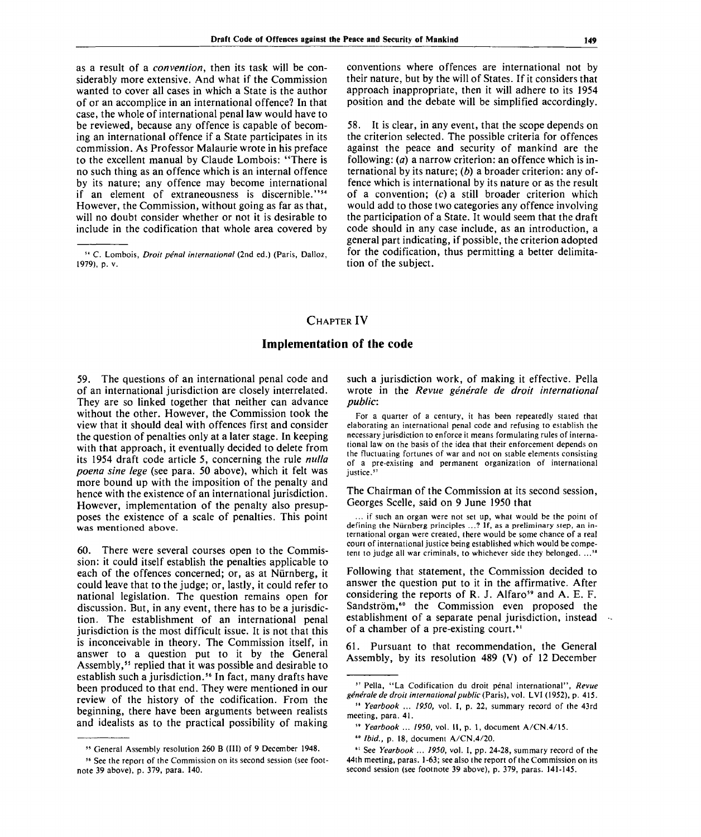as a result of a *convention,* then its task will be con-

siderably more extensive. And what if the Commission wanted to cover all cases in which a State is the author of or an accomplice in an international offence? In that case, the whole of international penal law would have to be reviewed, because any offence is capable of becoming an international offence if a State participates in its commission. As Professor Malaurie wrote in his preface to the excellent manual by Claude Lombois: 'There is no such thing as an offence which is an internal offence by its nature; any offence may become international if an element of extraneousness is discernible."<sup>54</sup> However, the Commission, without going as far as that, will no doubt consider whether or not it is desirable to include in the codification that whole area covered by

conventions where offences are international not by their nature, but by the will of States. If it considers that approach inappropriate, then it will adhere to its 1954 position and the debate will be simplified accordingly.

58. It is clear, in any event, that the scope depends on the criterion selected. The possible criteria for offences against the peace and security of mankind are the following: *(a)* a narrow criterion: an offence which is international by its nature; *(b)* a broader criterion: any offence which is international by its nature or as the result of a convention; (c) a still broader criterion which would add to those two categories any offence involving the participation of a State. It would seem that the draft code should in any case include, as an introduction, a general part indicating, if possible, the criterion adopted for the codification, thus permitting a better delimitation of the subject.

## CHAPTER IV

## **Implementation of the code**

59. The questions of an international penal code and of an international jurisdiction are closely interrelated. They are so linked together that neither can advance without the other. However, the Commission took the view that it should deal with offences first and consider the question of penalties only at a later stage. In keeping with that approach, it eventually decided to delete from its 1954 draft code article 5, concerning the rule *nulla poena sine lege* (see para. 50 above), which it felt was more bound up with the imposition of the penalty and hence with the existence of an international jurisdiction. However, implementation of the penalty also presupposes the existence of a scale of penalties. This point was mentioned above.

60. There were several courses open to the Commission: it could itself establish the penalties applicable to each of the offences concerned; or, as at Niirnberg, it could leave that to the judge; or, lastly, it could refer to national legislation. The question remains open for discussion. But, in any event, there has to be a jurisdiction. The establishment of an international penal jurisdiction is the most difficult issue. It is not that this is inconceivable in theory. The Commission itself, in answer to a question put to it by the General Assembly,<sup>55</sup> replied that it was possible and desirable to establish such a jurisdiction.<sup>56</sup> In fact, many drafts have been produced to that end. They were mentioned in our review of the history of the codification. From the beginning, there have been arguments between realists and idealists as to the practical possibility of making such a jurisdiction work, of making it effective. Pella wrote in the *Revue generate de droit international public:*

For a quarter of a century, it has been repeatedly stated that elaborating an international penal code and refusing to establish the necessary jurisdiction to enforce it means formulating rules of international law on the basis of the idea that their enforcement depends on the fluctuating fortunes of war and not on stable elements consisting of a pre-existing and permanent organization of international justice."

The Chairman of the Commission at its second session, Georges Scelle, said on 9 June 1950 that

... if such an organ were not set up, what would be the point of defining the Nürnberg principles ...? If, as a preliminary step, an international organ were created, there would be some chance of a real court of international justice being established which would be competent to judge all war criminals, to whichever side they belonged. ...<sup>58</sup>

Following that statement, the Commission decided to answer the question put to it in the affirmative. After considering the reports of R. J. Alfaro<sup>59</sup> and A. E. F. Sandström,<sup>60</sup> the Commission even proposed the establishment of a separate penal jurisdiction, instead of a chamber of a pre-existing court.<sup>61</sup>

61. Pursuant to that recommendation, the General Assembly, by its resolution 489 (V) of 12 December

<sup>54</sup> C. Lombois, *Droit penal international* (2nd ed.) (Paris, Dalloz, 1979), p. v.

<sup>&</sup>quot; General Assembly resolution 260 B **(III)** of 9 December 1948.

<sup>56</sup> See the report of the Commission on its second session (see footnote 39 above), p. 379, para. 140.

<sup>57</sup> Pella, "La Codification du droit penal international", *Revue generate de droit international public* (Paris), vol. LVI (1952), p. 415.

<sup>&</sup>quot; *Yearbook* ... *1950,* vol. I, p. 22, summary record of the 43rd meeting, para. 41.

<sup>59</sup>  *Yearbook ... 1950,* vol. II, p. 1, document A/CN.4/15.

<sup>60</sup>  *Ibid.,* p. 18, document A/CN.4/20.

<sup>61</sup> See *Yearbook ... 1950,* vol. I, pp. 24-28, summary record of the 44th meeting, paras. 1-63; see also the report of the Commission on its second session (see footnote 39 above), p. 379, paras. 141-145.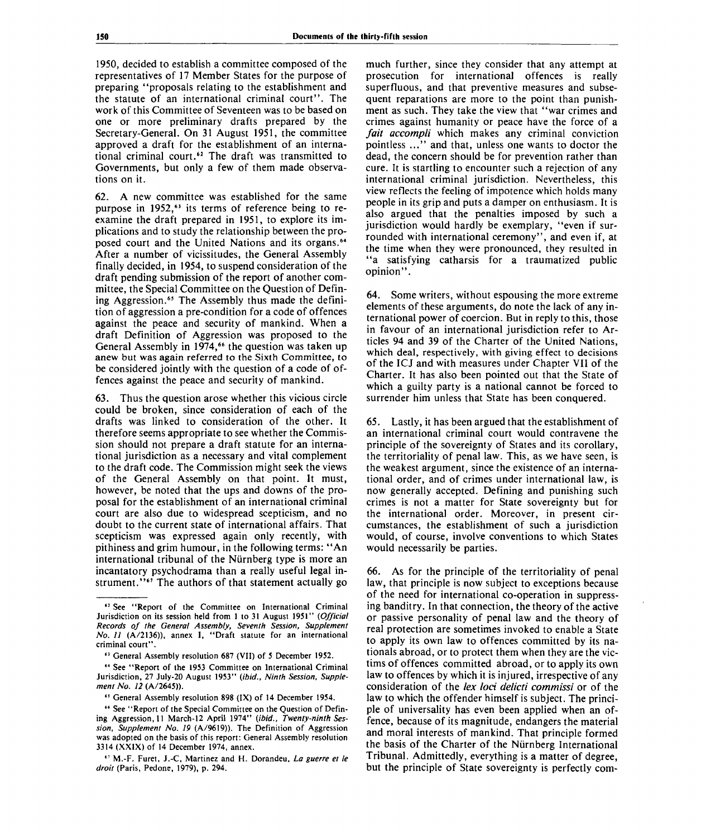1950, decided to establish a committee composed of the representatives of 17 Member States for the purpose of preparing "proposals relating to the establishment and the statute of an international criminal court". The work of this Committee of Seventeen was to be based on one or more preliminary drafts prepared by the Secretary-General. On 31 August 1951, the committee approved a draft for the establishment of an international criminal court.<sup>62</sup> The draft was transmitted to Governments, but only a few of them made observations on it.

62. A new committee was established for the same purpose in 1952,<sup>63</sup> its terms of reference being to reexamine the draft prepared in 1951, to explore its implications and to study the relationship between the proposed court and the United Nations and its organs.<sup>64</sup> After a number of vicissitudes, the General Assembly finally decided, in 1954, to suspend consideration of the draft pending submission of the report of another committee, the Special Committee on the Question of Defining Aggression.<sup>65</sup> The Assembly thus made the definition of aggression a pre-condition for a code of offences against the peace and security of mankind. When a draft Definition of Aggression was proposed to the General Assembly in 1974,<sup>66</sup> the question was taken up anew but was again referred to the Sixth Committee, to be considered jointly with the question of a code of offences against the peace and security of mankind.

63. Thus the question arose whether this vicious circle could be broken, since consideration of each of the drafts was linked to consideration of the other. It therefore seems appropriate to see whether the Commission should not prepare a draft statute for an international jurisdiction as a necessary and vital complement to the draft code. The Commission might seek the views of the General Assembly on that point. It must, however, be noted that the ups and downs of the proposal for the establishment of an international criminal court are also due to widespread scepticism, and no doubt to the current state of international affairs. That scepticism was expressed again only recently, with pithiness and grim humour, in the following terms: "An international tribunal of the Nürnberg type is more an incantatory psychodrama than a really useful legal instrument."<sup>67</sup> The authors of that statement actually go

67 M.-F. Furet, J.-C, Martinez and H. Dorandeu, *La guerre et le droit* (Paris, Pedone, 1979), p. 294.

much further, since they consider that any attempt at prosecution for international offences is really superfluous, and that preventive measures and subsequent reparations are more to the point than punishment as such. They take the view that "war crimes and crimes against humanity or peace have the force of a *fait accompli* which makes any criminal conviction pointless ..." and that, unless one wants to doctor the dead, the concern should be for prevention rather than cure. It is startling to encounter such a rejection of any international criminal jurisdiction. Nevertheless, this view reflects the feeling of impotence which holds many people in its grip and puts a damper on enthusiasm. It is also argued that the penalties imposed by such a jurisdiction would hardly be exemplary, "even if surrounded with international ceremony", and even if, at the time when they were pronounced, they resulted in "a satisfying catharsis for a traumatized public opinion".

64. Some writers, without espousing the more extreme elements of these arguments, do note the lack of any international power of coercion. But in reply to this, those in favour of an international jurisdiction refer to Articles 94 and 39 of the Charter of the United Nations, which deal, respectively, with giving effect to decisions of the ICJ and with measures under Chapter VII of the Charter. It has also been pointed out that the State of which a guilty party is a national cannot be forced to surrender him unless that State has been conquered.

65. Lastly, it has been argued that the establishment of an international criminal court would contravene the principle of the sovereignty of States and its corollary, the territoriality of penal law. This, as we have seen, is the weakest argument, since the existence of an international order, and of crimes under international law, is now generally accepted. Defining and punishing such crimes is not a matter for State sovereignty but for the international order. Moreover, in present circumstances, the establishment of such a jurisdiction would, of course, involve conventions to which States would necessarily be parties.

66. As for the principle of the territoriality of penal law, that principle is now subject to exceptions because of the need for international co-operation in suppressing banditry. In that connection, the theory of the active or passive personality of penal law and the theory of real protection are sometimes invoked to enable a State to apply its own law to offences committed by its nationals abroad, or to protect them when they are the victims of offences committed abroad, or to apply its own law to offences by which it is injured, irrespective of any consideration of the *lex loci delicti commissi* or of the law to which the offender himself is subject. The principle of universality has even been applied when an offence, because of its magnitude, endangers the material and moral interests of mankind. That principle formed the basis of the Charter of the Niirnberg International Tribunal. Admittedly, everything is a matter of degree, but the principle of State sovereignty is perfectly com-

<sup>62</sup> See "Report of the Committee on International Criminal Jurisdiction on its session held from 1 to 31 August 1951" *(Official Records of the General Assembly, Seventh Session, Supplement No. 11* (A/2136)), annex I, "Draft statute for an international criminal court".

<sup>63</sup> General Assembly resolution 687 (VII) of 5 December 1952.

<sup>64</sup> See "Report of the 1953 Committee on International Criminal Jurisdiction, 27 July-20 August 1953" *(ibid., Ninth Session, Supplement No. 12* (A/2645)).

<sup>&</sup>lt;sup>65</sup> General Assembly resolution 898 (IX) of 14 December 1954.

<sup>&</sup>lt;sup>46</sup> See "Report of the Special Committee on the Question of Defining Aggression, 11 March-12 April 1974" (ibid., Twenty-ninth Ses*sion, Supplement No. 19* (A/9619)). The Definition of Aggression was adopted on the basis of this report: General Assembly resolution 3314 (XXIX) of 14 December 1974, annex.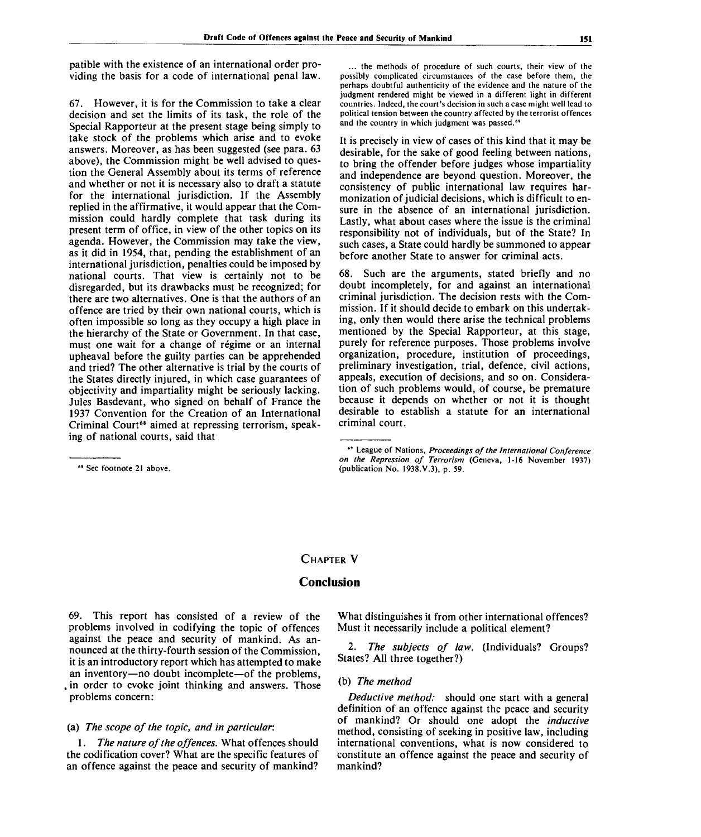patible with the existence of an international order providing the basis for a code of international penal law.

67. However, it is for the Commission to take a clear decision and set the limits of its task, the role of the Special Rapporteur at the present stage being simply to take stock of the problems which arise and to evoke answers. Moreover, as has been suggested (see para. 63 above), the Commission might be well advised to question the General Assembly about its terms of reference and whether or not it is necessary also to draft a statute for the international jurisdiction. If the Assembly replied in the affirmative, it would appear that the Commission could hardly complete that task during its present term of office, in view of the other topics on its agenda. However, the Commission may take the view, as it did in 1954, that, pending the establishment of an international jurisdiction, penalties could be imposed by national courts. That view is certainly not to be disregarded, but its drawbacks must be recognized; for there are two alternatives. One is that the authors of an offence are tried by their own national courts, which is often impossible so long as they occupy a high place in the hierarchy of the State or Government. In that case, must one wait for a change of régime or an internal upheaval before the guilty parties can be apprehended and tried? The other alternative is trial by the courts of the States directly injured, in which case guarantees of objectivity and impartiality might be seriously lacking. Jules Basdevant, who signed on behalf of France the 1937 Convention for the Creation of an International 257 Convention for the Creation of an international<br>Criminal Court<sup>68</sup> aimed at repressing terrorism, speaking of national courts, said that

... the methods of procedure of such courts, their view of the possibly complicated circumstances of the case before them, the perhaps doubtful authenticity of the evidence and the nature of the judgment rendered might be viewed in a different light in different countries. Indeed, the court's decision in such a case might well lead to political tension between the country affected by the terrorist offences and the country in which judgment was passed.<sup>6</sup>

It is precisely in view of cases of this kind that it may be desirable, for the sake of good feeling between nations, to bring the offender before judges whose impartiality and independence are beyond question. Moreover, the consistency of public international law requires harmonization of judicial decisions, which is difficult to ensure in the absence of an international jurisdiction. Lastly, what about cases where the issue is the criminal responsibility not of individuals, but of the State? In such cases, a State could hardly be summoned to appear before another State to answer for criminal acts.

68. Such are the arguments, stated briefly and no doubt incompletely, for and against an international criminal jurisdiction. The decision rests with the Commission. If it should decide to embark on this undertaking, only then would there arise the technical problems mentioned by the Special Rapporteur, at this stage, purely for reference purposes. Those problems involve organization, procedure, institution of proceedings, preliminary investigation, trial, defence, civil actions, appeals, execution of decisions, and so on. Consideration of such problems would, of course, be premature because it depends on whether or not it is thought desirable to establish a statute for an international criminal court.

#### CHAPTER V

#### **Conclusion**

69. This report has consisted of a review of the problems involved in codifying the topic of offences against the peace and security of mankind. As announced at the thirty-fourth session of the Commission, it is an introductory report which has attempted to make an inventory—no doubt incomplete—of the problems, , in order to evoke joint thinking and answers. Those problems concern:

(a) *The scope of the topic, and in particular:*

1. *The nature of the offences.* What offences should the codification cover? What are the specific features of an offence against the peace and security of mankind?

What distinguishes it from other international offences? Must it necessarily include a political element?

*2. The subjects of law.* (Individuals? Groups? States? All three together?)

#### (b) *The method*

*Deductive method:* should one start with a general definition of an offence against the peace and security of mankind? Or should one adopt the *inductive* method, consisting of seeking in positive law, including international conventions, what is now considered to constitute an offence against the peace and security of mankind?

<sup>68</sup> See footnote 21 above.

<sup>&</sup>quot; League of Nations, *Proceedings of the International Conference on the Repression of Terrorism* (Geneva, 1-16 November 1937) (publication No. 1938.V.3), p. 59.